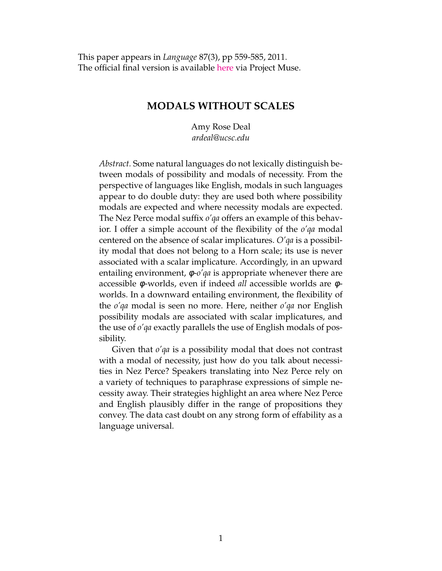This paper appears in *Language* 87(3), pp 559-585, 2011. The official final version is available [here](http://muse.jhu.edu/journals/language/v087/87.3.deal.html) via Project Muse.

# **MODALS WITHOUT SCALES**

Amy Rose Deal *ardeal@ucsc.edu*

*Abstract.* Some natural languages do not lexically distinguish between modals of possibility and modals of necessity. From the perspective of languages like English, modals in such languages appear to do double duty: they are used both where possibility modals are expected and where necessity modals are expected. The Nez Perce modal suffix *o'qa* offers an example of this behavior. I offer a simple account of the flexibility of the *o'qa* modal centered on the absence of scalar implicatures. *O'qa* is a possibility modal that does not belong to a Horn scale; its use is never associated with a scalar implicature. Accordingly, in an upward entailing environment, φ-*o'qa* is appropriate whenever there are accessible φ-worlds, even if indeed *all* accessible worlds are φworlds. In a downward entailing environment, the flexibility of the *o'qa* modal is seen no more. Here, neither *o'qa* nor English possibility modals are associated with scalar implicatures, and the use of *o'qa* exactly parallels the use of English modals of possibility.

Given that *o'qa* is a possibility modal that does not contrast with a modal of necessity, just how do you talk about necessities in Nez Perce? Speakers translating into Nez Perce rely on a variety of techniques to paraphrase expressions of simple necessity away. Their strategies highlight an area where Nez Perce and English plausibly differ in the range of propositions they convey. The data cast doubt on any strong form of effability as a language universal.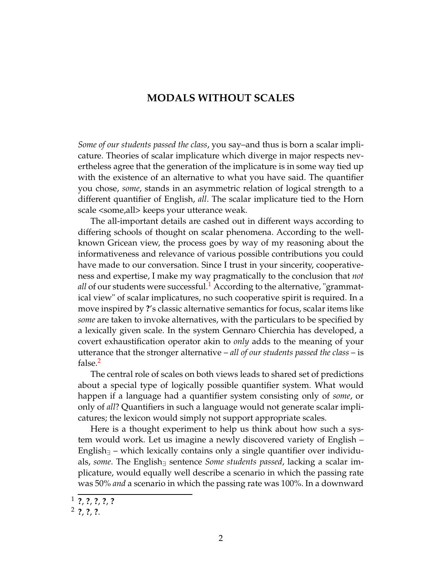# **MODALS WITHOUT SCALES**

*Some of our students passed the class*, you say–and thus is born a scalar implicature. Theories of scalar implicature which diverge in major respects nevertheless agree that the generation of the implicature is in some way tied up with the existence of an alternative to what you have said. The quantifier you chose, *some*, stands in an asymmetric relation of logical strength to a different quantifier of English, *all*. The scalar implicature tied to the Horn scale <some,all> keeps your utterance weak.

The all-important details are cashed out in different ways according to differing schools of thought on scalar phenomena. According to the wellknown Gricean view, the process goes by way of my reasoning about the informativeness and relevance of various possible contributions you could have made to our conversation. Since I trust in your sincerity, cooperativeness and expertise, I make my way pragmatically to the conclusion that *not* all of our students were successful.<sup>[1](#page-1-0)</sup> According to the alternative, "grammatical view" of scalar implicatures, no such cooperative spirit is required. In a move inspired by **?**'s classic alternative semantics for focus, scalar items like *some* are taken to invoke alternatives, with the particulars to be specified by a lexically given scale. In the system Gennaro Chierchia has developed, a covert exhaustification operator akin to *only* adds to the meaning of your utterance that the stronger alternative – *all of our students passed the class* – is false.[2](#page-1-1)

The central role of scales on both views leads to shared set of predictions about a special type of logically possible quantifier system. What would happen if a language had a quantifier system consisting only of *some*, or only of *all*? Quantifiers in such a language would not generate scalar implicatures; the lexicon would simply not support appropriate scales.

Here is a thought experiment to help us think about how such a system would work. Let us imagine a newly discovered variety of English – English $\frac{1}{2}$  – which lexically contains only a single quantifier over individuals, *some*. The English∃ sentence *Some students passed*, lacking a scalar implicature, would equally well describe a scenario in which the passing rate was 50% *and* a scenario in which the passing rate was 100%. In a downward

<sup>1</sup> **?**, **?**, **?**, **?**, **?**

<span id="page-1-1"></span><span id="page-1-0"></span><sup>2</sup> **?**, **?**, **?**.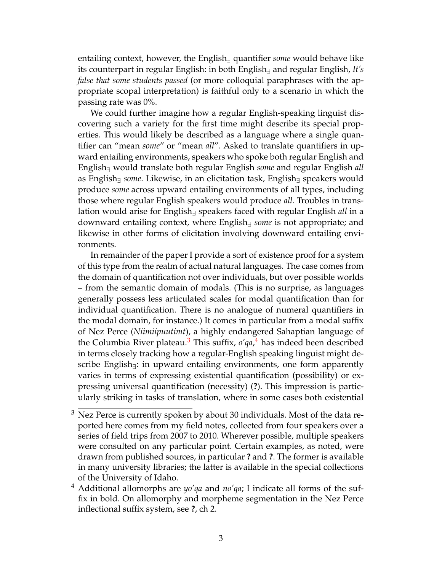entailing context, however, the English∃ quantifier *some* would behave like its counterpart in regular English: in both English∃ and regular English, *It's false that some students passed* (or more colloquial paraphrases with the appropriate scopal interpretation) is faithful only to a scenario in which the passing rate was 0%.

We could further imagine how a regular English-speaking linguist discovering such a variety for the first time might describe its special properties. This would likely be described as a language where a single quantifier can "mean *some*" or "mean *all*". Asked to translate quantifiers in upward entailing environments, speakers who spoke both regular English and English∃ would translate both regular English *some* and regular English *all* as English∃ *some*. Likewise, in an elicitation task, English∃ speakers would produce *some* across upward entailing environments of all types, including those where regular English speakers would produce *all*. Troubles in translation would arise for English∃ speakers faced with regular English *all* in a downward entailing context, where English∃ *some* is not appropriate; and likewise in other forms of elicitation involving downward entailing environments.

In remainder of the paper I provide a sort of existence proof for a system of this type from the realm of actual natural languages. The case comes from the domain of quantification not over individuals, but over possible worlds – from the semantic domain of modals. (This is no surprise, as languages generally possess less articulated scales for modal quantification than for individual quantification. There is no analogue of numeral quantifiers in the modal domain, for instance.) It comes in particular from a modal suffix of Nez Perce (*Niimiipuutimt*), a highly endangered Sahaptian language of the Columbia River plateau.[3](#page-2-0) This suffix, *o'qa*, [4](#page-2-1) has indeed been described in terms closely tracking how a regular-English speaking linguist might describe English<sub>∃</sub>: in upward entailing environments, one form apparently varies in terms of expressing existential quantification (possibility) or expressing universal quantification (necessity) (**?**). This impression is particularly striking in tasks of translation, where in some cases both existential

<span id="page-2-0"></span> $3 \text{ Nez}$  Perce is currently spoken by about 30 individuals. Most of the data reported here comes from my field notes, collected from four speakers over a series of field trips from 2007 to 2010. Wherever possible, multiple speakers were consulted on any particular point. Certain examples, as noted, were drawn from published sources, in particular **?** and **?**. The former is available in many university libraries; the latter is available in the special collections of the University of Idaho.

<span id="page-2-1"></span><sup>4</sup> Additional allomorphs are *yo'qa* and *no'qa*; I indicate all forms of the suffix in bold. On allomorphy and morpheme segmentation in the Nez Perce inflectional suffix system, see **?**, ch 2.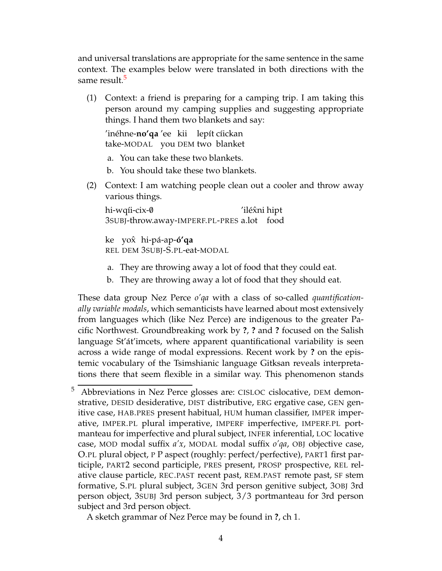and universal translations are appropriate for the same sentence in the same context. The examples below were translated in both directions with the same result.<sup>[5](#page-3-0)</sup>

(1) Context: a friend is preparing for a camping trip. I am taking this person around my camping supplies and suggesting appropriate things. I hand them two blankets and say:

'inéhne**-no'qa** 'ee kii lepít cíickan take-MODAL you DEM two blanket

- a. You can take these two blankets.
- b. You should take these two blankets.
- (2) Context: I am watching people clean out a cooler and throw away various things.

hi-wqíi-cix-0 3SUBJ-throw.away-IMPERF.PL-PRES a.lot food ′iléx̂ni hipt

ke yoxˆ hi-pá-ap-**ó'qa** REL DEM 3SUBJ-S.PL-eat-MODAL

- a. They are throwing away a lot of food that they could eat.
- b. They are throwing away a lot of food that they should eat.

These data group Nez Perce *o'qa* with a class of so-called *quantificationally variable modals*, which semanticists have learned about most extensively from languages which (like Nez Perce) are indigenous to the greater Pacific Northwest. Groundbreaking work by **?**, **?** and **?** focused on the Salish language St'át'imcets, where apparent quantificational variability is seen across a wide range of modal expressions. Recent work by **?** on the epistemic vocabulary of the Tsimshianic language Gitksan reveals interpretations there that seem flexible in a similar way. This phenomenon stands

<span id="page-3-0"></span><sup>&</sup>lt;sup>5</sup> Abbreviations in Nez Perce glosses are: CISLOC cislocative, DEM demonstrative, DESID desiderative, DIST distributive, ERG ergative case, GEN genitive case, HAB.PRES present habitual, HUM human classifier, IMPER imperative, IMPER.PL plural imperative, IMPERF imperfective, IMPERF.PL portmanteau for imperfective and plural subject, INFER inferential, LOC locative case, MOD modal suffix *a'x*, MODAL modal suffix *o'qa*, OBJ objective case, O.PL plural object, P P aspect (roughly: perfect/perfective), PART1 first participle, PART2 second participle, PRES present, PROSP prospective, REL relative clause particle, REC.PAST recent past, REM.PAST remote past, SF stem formative, S.PL plural subject, 3GEN 3rd person genitive subject, 3OBJ 3rd person object, 3SUBJ 3rd person subject, 3/3 portmanteau for 3rd person subject and 3rd person object.

A sketch grammar of Nez Perce may be found in **?**, ch 1.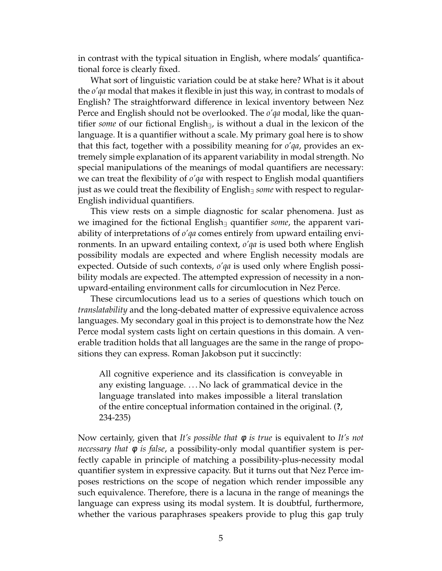in contrast with the typical situation in English, where modals' quantificational force is clearly fixed.

What sort of linguistic variation could be at stake here? What is it about the *o'qa* modal that makes it flexible in just this way, in contrast to modals of English? The straightforward difference in lexical inventory between Nez Perce and English should not be overlooked. The *o'qa* modal, like the quantifier *some* of our fictional English∃, is without a dual in the lexicon of the language. It is a quantifier without a scale. My primary goal here is to show that this fact, together with a possibility meaning for *o'qa*, provides an extremely simple explanation of its apparent variability in modal strength. No special manipulations of the meanings of modal quantifiers are necessary: we can treat the flexibility of *o'qa* with respect to English modal quantifiers just as we could treat the flexibility of English∃ *some* with respect to regular-English individual quantifiers.

This view rests on a simple diagnostic for scalar phenomena. Just as we imagined for the fictional English∃ quantifier *some*, the apparent variability of interpretations of *o'qa* comes entirely from upward entailing environments. In an upward entailing context, *o'qa* is used both where English possibility modals are expected and where English necessity modals are expected. Outside of such contexts, *o'qa* is used only where English possibility modals are expected. The attempted expression of necessity in a nonupward-entailing environment calls for circumlocution in Nez Perce.

These circumlocutions lead us to a series of questions which touch on *translatability* and the long-debated matter of expressive equivalence across languages. My secondary goal in this project is to demonstrate how the Nez Perce modal system casts light on certain questions in this domain. A venerable tradition holds that all languages are the same in the range of propositions they can express. Roman Jakobson put it succinctly:

All cognitive experience and its classification is conveyable in any existing language. . . . No lack of grammatical device in the language translated into makes impossible a literal translation of the entire conceptual information contained in the original. (**?**, 234-235)

Now certainly, given that *It's possible that* φ *is true* is equivalent to *It's not necessary that* φ *is false*, a possibility-only modal quantifier system is perfectly capable in principle of matching a possibility-plus-necessity modal quantifier system in expressive capacity. But it turns out that Nez Perce imposes restrictions on the scope of negation which render impossible any such equivalence. Therefore, there is a lacuna in the range of meanings the language can express using its modal system. It is doubtful, furthermore, whether the various paraphrases speakers provide to plug this gap truly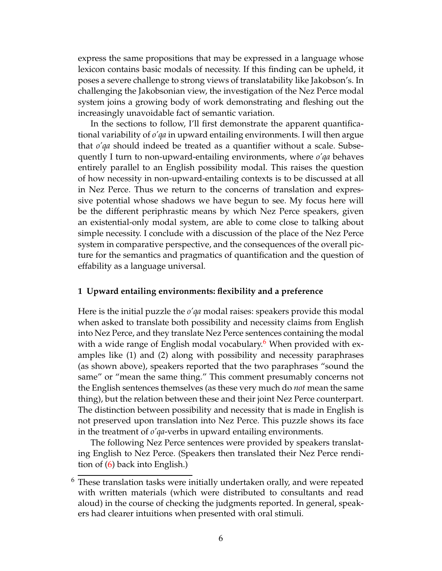express the same propositions that may be expressed in a language whose lexicon contains basic modals of necessity. If this finding can be upheld, it poses a severe challenge to strong views of translatability like Jakobson's. In challenging the Jakobsonian view, the investigation of the Nez Perce modal system joins a growing body of work demonstrating and fleshing out the increasingly unavoidable fact of semantic variation.

In the sections to follow, I'll first demonstrate the apparent quantificational variability of *o'qa* in upward entailing environments. I will then argue that *o'qa* should indeed be treated as a quantifier without a scale. Subsequently I turn to non-upward-entailing environments, where *o'qa* behaves entirely parallel to an English possibility modal. This raises the question of how necessity in non-upward-entailing contexts is to be discussed at all in Nez Perce. Thus we return to the concerns of translation and expressive potential whose shadows we have begun to see. My focus here will be the different periphrastic means by which Nez Perce speakers, given an existential-only modal system, are able to come close to talking about simple necessity. I conclude with a discussion of the place of the Nez Perce system in comparative perspective, and the consequences of the overall picture for the semantics and pragmatics of quantification and the question of effability as a language universal.

### <span id="page-5-1"></span>**1 Upward entailing environments: flexibility and a preference**

Here is the initial puzzle the *o'qa* modal raises: speakers provide this modal when asked to translate both possibility and necessity claims from English into Nez Perce, and they translate Nez Perce sentences containing the modal with a wide range of English modal vocabulary.<sup>[6](#page-5-0)</sup> When provided with examples like (1) and (2) along with possibility and necessity paraphrases (as shown above), speakers reported that the two paraphrases "sound the same" or "mean the same thing." This comment presumably concerns not the English sentences themselves (as these very much do *not* mean the same thing), but the relation between these and their joint Nez Perce counterpart. The distinction between possibility and necessity that is made in English is not preserved upon translation into Nez Perce. This puzzle shows its face in the treatment of *o'qa*-verbs in upward entailing environments.

The following Nez Perce sentences were provided by speakers translating English to Nez Perce. (Speakers then translated their Nez Perce rendition of [\(6\)](#page-6-0) back into English.)

<span id="page-5-0"></span> $6$  These translation tasks were initially undertaken orally, and were repeated with written materials (which were distributed to consultants and read aloud) in the course of checking the judgments reported. In general, speakers had clearer intuitions when presented with oral stimuli.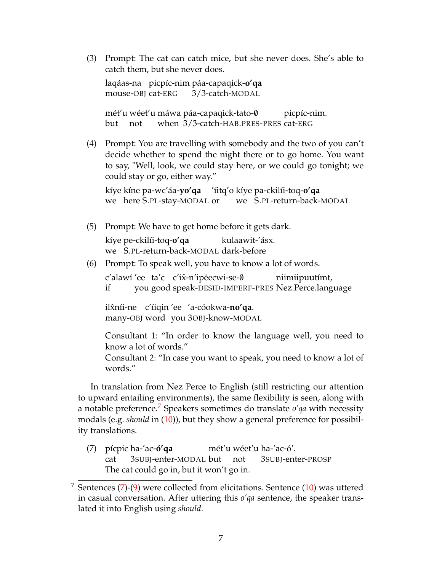(3) Prompt: The cat can catch mice, but she never does. She's able to catch them, but she never does.

laqáas-na picpíc-nim páa-capaqick-**o'qa** mouse-OBJ cat-ERG 3/3-catch-MODAL mét′u wéet′u máwa páa-capaqick-tato-0 but not when 3/3-catch-HAB.PRES-PRES cat-ERG picpíc-nim.

(4) Prompt: You are travelling with somebody and the two of you can't decide whether to spend the night there or to go home. You want to say, "Well, look, we could stay here, or we could go tonight; we could stay or go, either way."

```
kíye
kíne
pa-wc'áa-yo'qa
'íitq'o
kíye
pa-ckilíi-toq-o'qa
we
here
S.PL-stay-MODAL
or
                                we
S.PL-return-back-MODAL
```
(5) Prompt: We have to get home before it gets dark.

kíye pe-ckilíi-toq-**o'qa** we S.PL-return-back-MODAL dark-before kulaawit-'ásx.

<span id="page-6-0"></span>(6) Prompt: To speak well, you have to know a lot of words.

c'alawí 'ee ta'c c'ix̂-n'ipéecwi-se-0 if you good speak-DESID-IMPERF-PRES Nez.Perce.language niimiipuutímt,

ilxníi-ne ˆ c'íiqin 'ee 'a-cóokwa-**no'qa**. many-OBJ word you 3OBJ-know-MODAL

Consultant 1: "In order to know the language well, you need to know a lot of words."

Consultant 2: "In case you want to speak, you need to know a lot of words."

In translation from Nez Perce to English (still restricting our attention to upward entailing environments), the same flexibility is seen, along with a notable preference.[7](#page-6-1) Speakers sometimes do translate *o'qa* with necessity modals (e.g. *should* in [\(10\)](#page-7-0)), but they show a general preference for possibility translations.

<span id="page-6-2"></span>(7) pícpic ha-'ac-**ó'qa** cat 3SUBJ-enter-MODAL but not mét'u wéet'u ha-'ac-ó'. 3SUBJ-enter-PROSP The cat could go in, but it won't go in.

<span id="page-6-1"></span> $7$  Sentences [\(7\)](#page-6-2)-[\(9\)](#page-7-1) were collected from elicitations. Sentence [\(10\)](#page-7-0) was uttered in casual conversation. After uttering this *o'qa* sentence, the speaker translated it into English using *should*.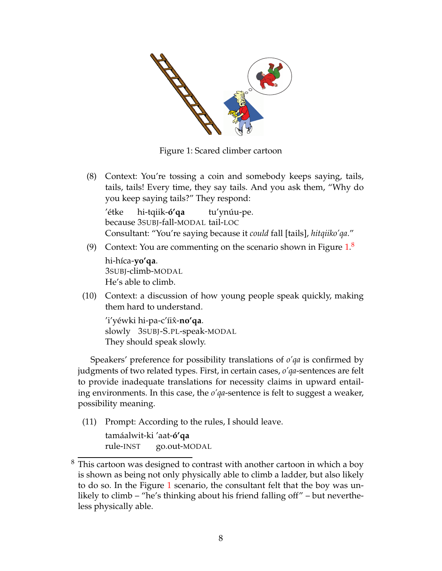

<span id="page-7-2"></span>Figure 1: Scared climber cartoon

(8) Context: You're tossing a coin and somebody keeps saying, tails, tails, tails! Every time, they say tails. And you ask them, "Why do you keep saying tails?" They respond: 'étke hi-tqiik-**ó'qa** tu'ynúu-pe.

because 3SUBJ-fall-MODAL tail-LOC Consultant: "You're saying because it *could* fall [tails], *hitqiiko'qa*."

<span id="page-7-1"></span>(9) Context: You are commenting on the scenario shown in Figure  $1.8$  $1.8$ 

hi-híca-**yo'qa**. 3SUBJ-climb-MODAL He's able to climb.

<span id="page-7-0"></span>(10) Context: a discussion of how young people speak quickly, making them hard to understand.

'i'yéwki hi-pa-c'íix̂-**no'qa**. slowly 3SUBJ-S.PL-speak-MODAL They should speak slowly.

Speakers' preference for possibility translations of *o'qa* is confirmed by judgments of two related types. First, in certain cases, *o'qa*-sentences are felt to provide inadequate translations for necessity claims in upward entailing environments. In this case, the *o'qa*-sentence is felt to suggest a weaker, possibility meaning.

(11) Prompt: According to the rules, I should leave.

tamáalwit-ki 'aat-**ó'qa** rule-INST go.out-MODAL

<span id="page-7-3"></span> $8$  This cartoon was designed to contrast with another cartoon in which a boy is shown as being not only physically able to climb a ladder, but also likely to do so. In the Figure [1](#page-7-2) scenario, the consultant felt that the boy was unlikely to climb – "he's thinking about his friend falling off" – but nevertheless physically able.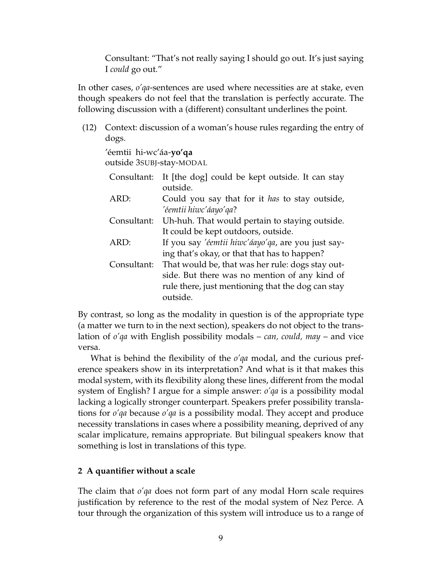Consultant: "That's not really saying I should go out. It's just saying I *could* go out."

In other cases, *o'qa*-sentences are used where necessities are at stake, even though speakers do not feel that the translation is perfectly accurate. The following discussion with a (different) consultant underlines the point.

(12) Context: discussion of a woman's house rules regarding the entry of dogs.

'éemtii hi-wc'áa-**yo'qa** outside 3SUBJ-stay-MODAL

| Consultant: | It [the dog] could be kept outside. It can stay<br>outside.                                                                                                        |
|-------------|--------------------------------------------------------------------------------------------------------------------------------------------------------------------|
| ARD:        | Could you say that for it has to stay outside,<br>'éemtii hiwc'áayo'qa?                                                                                            |
| Consultant: | Uh-huh. That would pertain to staying outside.<br>It could be kept outdoors, outside.                                                                              |
| ARD:        | If you say 'éemtii hiwc'áayo'qa, are you just say-<br>ing that's okay, or that that has to happen?                                                                 |
| Consultant: | That would be, that was her rule: dogs stay out-<br>side. But there was no mention of any kind of<br>rule there, just mentioning that the dog can stay<br>outside. |

By contrast, so long as the modality in question is of the appropriate type (a matter we turn to in the next section), speakers do not object to the translation of *o'qa* with English possibility modals – *can, could, may* – and vice versa.

What is behind the flexibility of the *o'qa* modal, and the curious preference speakers show in its interpretation? And what is it that makes this modal system, with its flexibility along these lines, different from the modal system of English? I argue for a simple answer: *o'qa* is a possibility modal lacking a logically stronger counterpart. Speakers prefer possibility translations for *o'qa* because *o'qa* is a possibility modal. They accept and produce necessity translations in cases where a possibility meaning, deprived of any scalar implicature, remains appropriate. But bilingual speakers know that something is lost in translations of this type.

### **2 A quantifier without a scale**

The claim that *o'qa* does not form part of any modal Horn scale requires justification by reference to the rest of the modal system of Nez Perce. A tour through the organization of this system will introduce us to a range of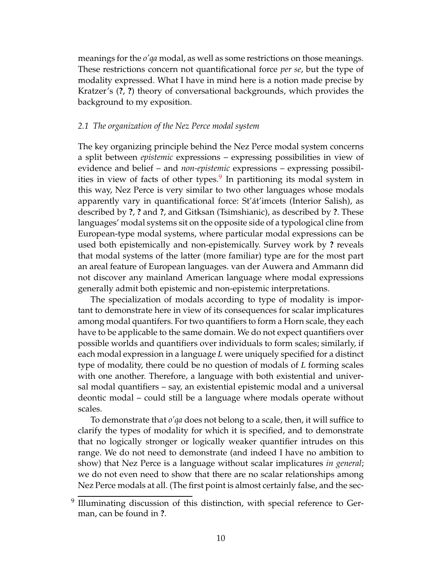meanings for the *o'qa* modal, as well as some restrictions on those meanings. These restrictions concern not quantificational force *per se*, but the type of modality expressed. What I have in mind here is a notion made precise by Kratzer's (**?**, **?**) theory of conversational backgrounds, which provides the background to my exposition.

#### *2.1 The organization of the Nez Perce modal system*

The key organizing principle behind the Nez Perce modal system concerns a split between *epistemic* expressions – expressing possibilities in view of evidence and belief – and *non-epistemic* expressions – expressing possibil-ities in view of facts of other types.<sup>[9](#page-9-0)</sup> In partitioning its modal system in this way, Nez Perce is very similar to two other languages whose modals apparently vary in quantificational force: St'át'imcets (Interior Salish), as described by **?**, **?** and **?**, and Gitksan (Tsimshianic), as described by **?**. These languages' modal systems sit on the opposite side of a typological cline from European-type modal systems, where particular modal expressions can be used both epistemically and non-epistemically. Survey work by **?** reveals that modal systems of the latter (more familiar) type are for the most part an areal feature of European languages. van der Auwera and Ammann did not discover any mainland American language where modal expressions generally admit both epistemic and non-epistemic interpretations.

The specialization of modals according to type of modality is important to demonstrate here in view of its consequences for scalar implicatures among modal quantifers. For two quantifiers to form a Horn scale, they each have to be applicable to the same domain. We do not expect quantifiers over possible worlds and quantifiers over individuals to form scales; similarly, if each modal expression in a language *L* were uniquely specified for a distinct type of modality, there could be no question of modals of *L* forming scales with one another. Therefore, a language with both existential and universal modal quantifiers – say, an existential epistemic modal and a universal deontic modal – could still be a language where modals operate without scales.

To demonstrate that *o'qa* does not belong to a scale, then, it will suffice to clarify the types of modality for which it is specified, and to demonstrate that no logically stronger or logically weaker quantifier intrudes on this range. We do not need to demonstrate (and indeed I have no ambition to show) that Nez Perce is a language without scalar implicatures *in general*; we do not even need to show that there are no scalar relationships among Nez Perce modals at all. (The first point is almost certainly false, and the sec-

<span id="page-9-0"></span><sup>9</sup> Illuminating discussion of this distinction, with special reference to German, can be found in **?**.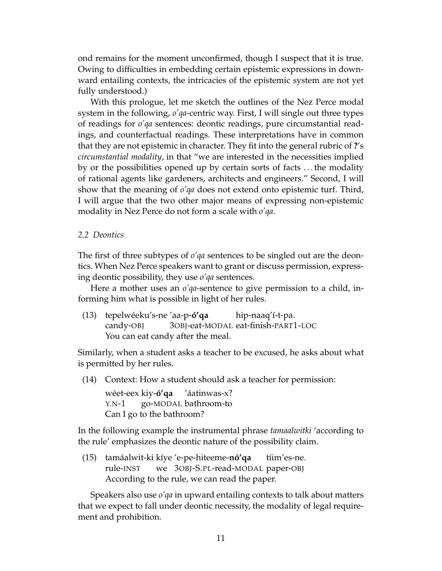ond remains for the moment unconfirmed, though I suspect that it is true. Owing to difficulties in embedding certain epistemic expressions in downward entailing contexts, the intricacies of the epistemic system are not yet fully understood.)

With this prologue, let me sketch the outlines of the Nez Perce modal system in the following, *o'qa*-centric way. First, I will single out three types of readings for *o'qa* sentences: deontic readings, pure circumstantial readings, and counterfactual readings. These interpretations have in common that they are not epistemic in character. They fit into the general rubric of **?**'s *circumstantial modality*, in that "we are interested in the necessities implied by or the possibilities opened up by certain sorts of facts . . . the modality of rational agents like gardeners, architects and engineers." Second, I will show that the meaning of *o'qa* does not extend onto epistemic turf. Third, I will argue that the two other major means of expressing non-epistemic modality in Nez Perce do not form a scale with *o'qa*.

#### *2.2 Deontics*

The first of three subtypes of *o'qa* sentences to be singled out are the deontics. When Nez Perce speakers want to grant or discuss permission, expressing deontic possibility, they use *o'qa* sentences.

Here a mother uses an *o'qa*-sentence to give permission to a child, informing him what is possible in light of her rules.

(13) tepelwéeku's-ne 'aa-p-**ó'qa** candy-OBJ 3OBJ-eat-MODAL eat-finish-PART1-LOC hip-naaq'í-t-pa. You can eat candy after the meal.

Similarly, when a student asks a teacher to be excused, he asks about what is permitted by her rules.

(14) Context: How a student should ask a teacher for permission:

wéet-eex kiy-**ó'qa** Y.N-1 go-MODAL bathroom-to 'áatinwas-x? Can I go to the bathroom?

In the following example the instrumental phrase *tamaalwitki* 'according to the rule' emphasizes the deontic nature of the possibility claim.

(15) tamáalwit-ki kíye 'e-pe-hiteeme-**nó'qa** rule-INST we 3OBJ-S.PL-read-MODAL paper-OBJ tíim'es-ne. According to the rule, we can read the paper.

Speakers also use *o'qa* in upward entailing contexts to talk about matters that we expect to fall under deontic necessity, the modality of legal requirement and prohibition.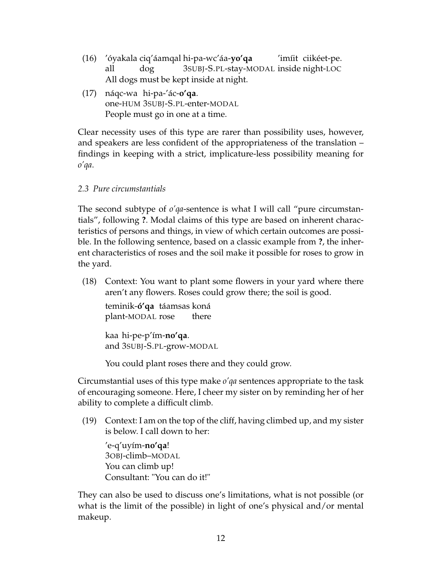- (16) 'óyakala ciq'áamqal hi-pa-wc'áa-**yo'qa** all dog 3SUBJ-S.PL-stay-MODAL inside night-LOC 'imíit ciikéet-pe. All dogs must be kept inside at night.
- (17) náqc-wa hi-pa-'ác-**o'qa**. one-HUM 3SUBJ-S.PL-enter-MODAL People must go in one at a time.

Clear necessity uses of this type are rarer than possibility uses, however, and speakers are less confident of the appropriateness of the translation – findings in keeping with a strict, implicature-less possibility meaning for *o'qa*.

## *2.3 Pure circumstantials*

The second subtype of *o'qa*-sentence is what I will call "pure circumstantials", following **?**. Modal claims of this type are based on inherent characteristics of persons and things, in view of which certain outcomes are possible. In the following sentence, based on a classic example from **?**, the inherent characteristics of roses and the soil make it possible for roses to grow in the yard.

(18) Context: You want to plant some flowers in your yard where there aren't any flowers. Roses could grow there; the soil is good.

teminik-**ó'qa** táamsas koná plant-MODAL rose there

kaa hi-pe-p'ím-**no'qa**. and 3SUBJ-S.PL-grow-MODAL

You could plant roses there and they could grow.

Circumstantial uses of this type make *o'qa* sentences appropriate to the task of encouraging someone. Here, I cheer my sister on by reminding her of her ability to complete a difficult climb.

(19) Context: I am on the top of the cliff, having climbed up, and my sister is below. I call down to her:

'e-q'uyím-**no'qa**! 3OBJ-climb–MODAL You can climb up! Consultant: "You can do it!"

They can also be used to discuss one's limitations, what is not possible (or what is the limit of the possible) in light of one's physical and/or mental makeup.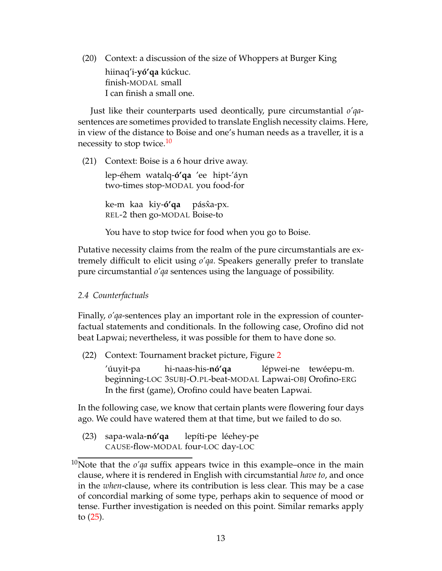(20) Context: a discussion of the size of Whoppers at Burger King hiinaq'i-**yó'qa** kúckuc. finish-MODAL small I can finish a small one.

Just like their counterparts used deontically, pure circumstantial *o'qa*sentences are sometimes provided to translate English necessity claims. Here, in view of the distance to Boise and one's human needs as a traveller, it is a necessity to stop twice. $10$ 

(21) Context: Boise is a 6 hour drive away.

lep-éhem watalq-**ó'qa** 'ee hipt-'áyn two-times stop-MODAL you food-for

ke-m kaa kiy-**ó'qa** REL-2 then go-MODAL Boise-to pásxa-px.

You have to stop twice for food when you go to Boise.

Putative necessity claims from the realm of the pure circumstantials are extremely difficult to elicit using *o'qa*. Speakers generally prefer to translate pure circumstantial *o'qa* sentences using the language of possibility.

### *2.4 Counterfactuals*

Finally, *o'qa*-sentences play an important role in the expression of counterfactual statements and conditionals. In the following case, Orofino did not beat Lapwai; nevertheless, it was possible for them to have done so.

(22) Context: Tournament bracket picture, Figure [2](#page-13-0)

'úuyit-pa beginning-LOC 3SUBJ-O.PL-beat-MODAL Lapwai-OBJ Orofino-ERG hi-naas-his-**nó'qa** lépwei-ne tewéepu-m. In the first (game), Orofino could have beaten Lapwai.

In the following case, we know that certain plants were flowering four days ago. We could have watered them at that time, but we failed to do so.

(23) sapa-wala-**nó'qa** CAUSE-flow-MODAL four-LOC day-LOC lepíti-pe léehey-pe

<span id="page-12-0"></span><sup>&</sup>lt;sup>10</sup>Note that the  $o'qa$  suffix appears twice in this example–once in the main clause, where it is rendered in English with circumstantial *have to*, and once in the *when*-clause, where its contribution is less clear. This may be a case of concordial marking of some type, perhaps akin to sequence of mood or tense. Further investigation is needed on this point. Similar remarks apply to [\(25\)](#page-13-1).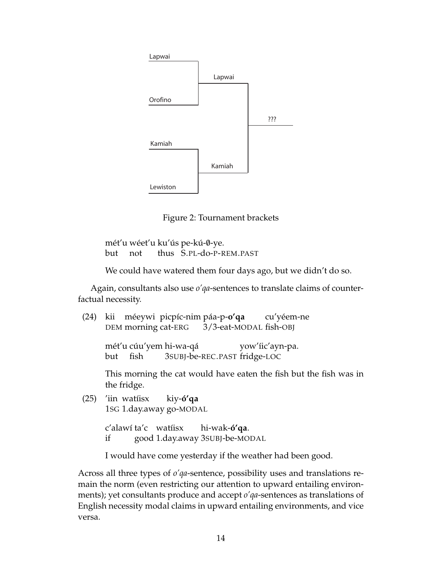

<span id="page-13-0"></span>Figure 2: Tournament brackets

mét′u wéet′u ku′ús pe-kú-0-ye. but not thus S.PL-do-P-REM.PAST

We could have watered them four days ago, but we didn't do so.

Again, consultants also use *o'qa*-sentences to translate claims of counterfactual necessity.

 $(24)$ DEM morning cat-ERG méeywi picpíc-nim páa-p-**o'qa** 3/3-eat-MODAL fish-OBJ cu'yéem-ne

mét'u cúu'yem hi-wa-qá but fish 3SUBJ-be-REC.PAST fridge-LOC yow'íic'ayn-pa.

This morning the cat would have eaten the fish but the fish was in the fridge.

<span id="page-13-1"></span> $(25)$ 1SG 1.day.away go-MODAL 'iin watíisx kiy-**ó'qa**

```
c'alawí
ta'c
watíisx
if
       good
1.day.away
3SUBJ-be-MODAL
                        hi-wak-ó'qa.
```
I would have come yesterday if the weather had been good.

Across all three types of *o'qa*-sentence, possibility uses and translations remain the norm (even restricting our attention to upward entailing environments); yet consultants produce and accept *o'qa*-sentences as translations of English necessity modal claims in upward entailing environments, and vice versa.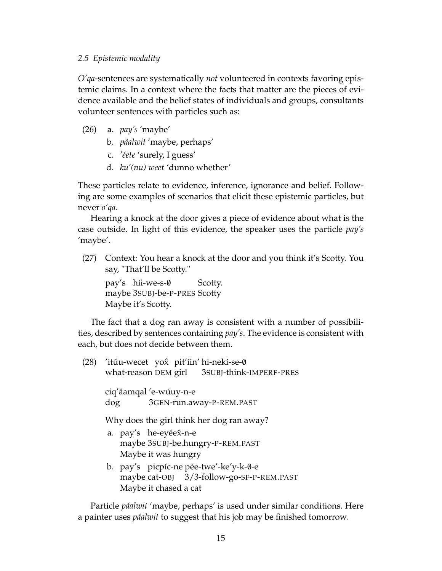#### *2.5 Epistemic modality*

*O'qa*-sentences are systematically *not* volunteered in contexts favoring epistemic claims. In a context where the facts that matter are the pieces of evidence available and the belief states of individuals and groups, consultants volunteer sentences with particles such as:

- (26) a. *pay's* 'maybe'
	- b. *páalwit* 'maybe, perhaps'
	- c. *'éete* 'surely, I guess'
	- d. *ku'(nu) weet* 'dunno whether'

These particles relate to evidence, inference, ignorance and belief. Following are some examples of scenarios that elicit these epistemic particles, but never *o'qa*.

Hearing a knock at the door gives a piece of evidence about what is the case outside. In light of this evidence, the speaker uses the particle *pay's* 'maybe'.

(27) Context: You hear a knock at the door and you think it's Scotty. You say, "That'll be Scotty."

pay's híi-we-s-0 maybe 3SUBJ-be-P-PRES Scotty Scotty. Maybe it's Scotty.

The fact that a dog ran away is consistent with a number of possibilities, described by sentences containing *pay's*. The evidence is consistent with each, but does not decide between them.

(28) ′itúu-wecet yox̂ pit′íin′ hi-nekí-se-0 what-reason DEM girl 3SUBJ-think-IMPERF-PRES ciq'áamqal 'e-wúuy-n-e dog 3GEN-run.away-P-REM.PAST Why does the girl think her dog ran away? a. pay's he-eyéex̂-n-e maybe 3SUBJ-be.hungry-P-REM.PAST Maybe it was hungry b. pay's picpíc-ne pée-twe'-ke'y-k-0-e maybe cat-OBJ 3/3-follow-go-SF-P-REM.PAST Maybe it chased a cat

Particle *páalwit* 'maybe, perhaps' is used under similar conditions. Here a painter uses *páalwit* to suggest that his job may be finished tomorrow.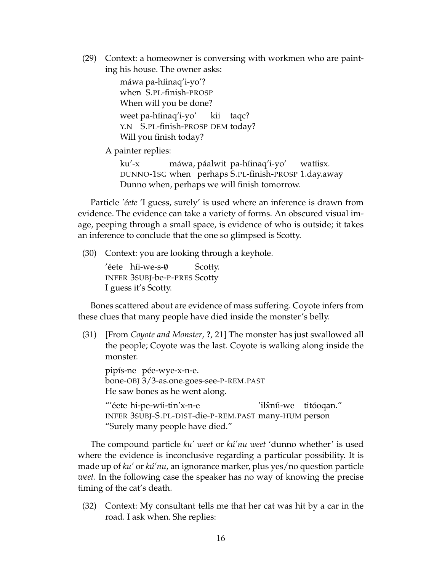(29) Context: a homeowner is conversing with workmen who are painting his house. The owner asks:

```
máwa
pa-híinaq'i-yo'?
when
S.PL-finish-PROSP
When will you be done?
weet
pa-híinaq'i-yo'
Y.N
S.PL-finish-PROSP
DEM
today?
                       kii
taqc?
Will you finish today?
```
A painter replies:

ku'-x DUNNO-1SG when perhaps S.PL-finish-PROSP 1.day.away máwa, páalwit pa-híinaq'i-yo' watíisx. Dunno when, perhaps we will finish tomorrow.

Particle *'éete* 'I guess, surely' is used where an inference is drawn from evidence. The evidence can take a variety of forms. An obscured visual image, peeping through a small space, is evidence of who is outside; it takes an inference to conclude that the one so glimpsed is Scotty.

(30) Context: you are looking through a keyhole.

'éete híi-we-s-0 INFER 3SUBJ-be-P-PRES Scotty Scotty. I guess it's Scotty.

Bones scattered about are evidence of mass suffering. Coyote infers from these clues that many people have died inside the monster's belly.

(31) [From *Coyote and Monster*, **?**, 21] The monster has just swallowed all the people; Coyote was the last. Coyote is walking along inside the monster.

pipís-ne pée-wye-x-n-e. bone-OBJ 3/3-as.one.goes-see-P-REM.PAST He saw bones as he went along.

"'éete hi-pe-wíi-tin'x-n-e INFER 3SUBJ-S.PL-DIST-die-P-REM.PAST many-HUM person 'ilx̂níi-we titóoqan.'' "Surely many people have died."

The compound particle *ku' weet* or *kú'nu weet* 'dunno whether' is used where the evidence is inconclusive regarding a particular possibility. It is made up of *ku'* or *kú'nu*, an ignorance marker, plus yes/no question particle *weet*. In the following case the speaker has no way of knowing the precise timing of the cat's death.

(32) Context: My consultant tells me that her cat was hit by a car in the road. I ask when. She replies: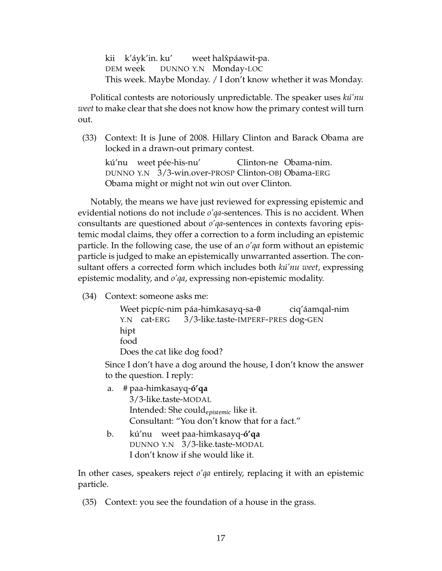kii k'áyk'in. ku' DEM week DUNNO Y.N Monday-LOC weet halx̂páawit-pa. This week. Maybe Monday. / I don't know whether it was Monday.

Political contests are notoriously unpredictable. The speaker uses *kú'nu weet* to make clear that she does not know how the primary contest will turn out.

(33) Context: It is June of 2008. Hillary Clinton and Barack Obama are locked in a drawn-out primary contest.

kú'nu weet pée-his-nu' DUNNO Y.N 3/3-win.over-PROSP Clinton-OBJ Obama-ERG Clinton-ne Obama-nim. Obama might or might not win out over Clinton.

Notably, the means we have just reviewed for expressing epistemic and evidential notions do not include *o'qa*-sentences. This is no accident. When consultants are questioned about *o'qa*-sentences in contexts favoring epistemic modal claims, they offer a correction to a form including an epistemic particle. In the following case, the use of an *o'qa* form without an epistemic particle is judged to make an epistemically unwarranted assertion. The consultant offers a corrected form which includes both *kú'nu weet*, expressing epistemic modality, and *o'qa*, expressing non-epistemic modality.

(34) Context: someone asks me:

Weet picpíc-nim páa-himkasayq-sa-0 Y.N cat-ERG 3/3-like.taste-IMPERF-PRES dog-GEN ciq'áamqal-nim hipt food Does the cat like dog food?

Since I don't have a dog around the house, I don't know the answer to the question. I reply:

- a. # paa-himkasayq-**ó'qa** 3/3-like.taste-MODAL Intended: She could*epistemic* like it. Consultant: "You don't know that for a fact."
- b. kú'nu weet paa-himkasayq-**ó'qa** DUNNO Y.N 3/3-like.taste-MODAL I don't know if she would like it.

In other cases, speakers reject *o'qa* entirely, replacing it with an epistemic particle.

(35) Context: you see the foundation of a house in the grass.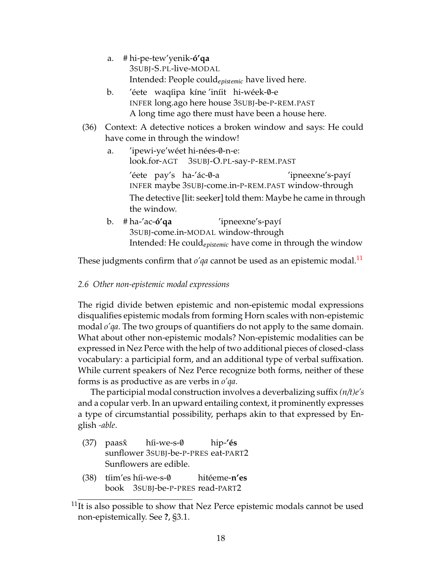- a. # hi-pe-tew'yenik-**ó'qa** 3SUBJ-S.PL-live-MODAL Intended: People could*epistemic* have lived here.
- b. 'éete waqíipa kíne 'iníit hi-wéek-0-e INFER long.ago here house 3SUBJ-be-P-REM.PAST A long time ago there must have been a house here.
- (36) Context: A detective notices a broken window and says: He could have come in through the window!
	- a. 'ipewi-ye'wéet hi-nées-0-n-e: look.for-AGT 3SUBJ-O.PL-say-P-REM.PAST

'éete pay's ha-'ác-0-a INFER maybe 3SUBJ-come.in-P-REM.PAST window-through 'ipneexne's-payí The detective [lit: seeker] told them: Maybe he came in through the window.

b. # ha-'ac-**ó'qa** 3SUBJ-come.in-MODAL window-through 'ipneexne's-payí Intended: He could*epistemic* have come in through the window

These judgments confirm that  $o'qa$  cannot be used as an epistemic modal.<sup>[11](#page-17-0)</sup>

# *2.6 Other non-epistemic modal expressions*

The rigid divide betwen epistemic and non-epistemic modal expressions disqualifies epistemic modals from forming Horn scales with non-epistemic modal *o'qa*. The two groups of quantifiers do not apply to the same domain. What about other non-epistemic modals? Non-epistemic modalities can be expressed in Nez Perce with the help of two additional pieces of closed-class vocabulary: a participial form, and an additional type of verbal suffixation. While current speakers of Nez Perce recognize both forms, neither of these forms is as productive as are verbs in *o'qa*.

The participial modal construction involves a deverbalizing suffix *(n/t)e's* and a copular verb. In an upward entailing context, it prominently expresses a type of circumstantial possibility, perhaps akin to that expressed by English *-able*.

- <span id="page-17-2"></span> $(37)$  paas $\hat{x}$ sunflower 3SUBJ-be-P-PRES eat-PART2 híi-we-s-0 hip-**'és** Sunflowers are edible.
- <span id="page-17-1"></span>(38) tíim'es híi-we-s-/0 book 3SUBJ-be-P-PRES read-PART2 hitéeme-**n'es**

<span id="page-17-0"></span> $11$ It is also possible to show that Nez Perce epistemic modals cannot be used non-epistemically. See **?**, §3.1.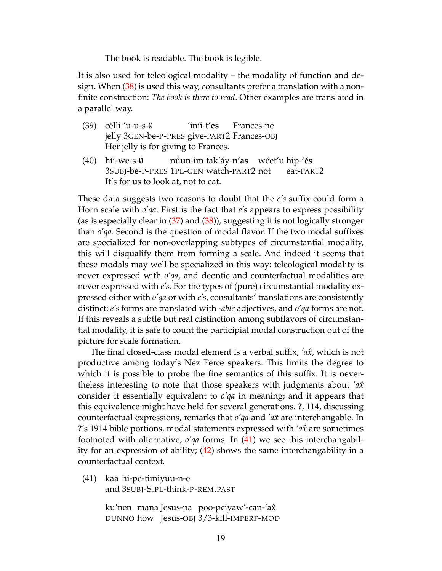The book is readable. The book is legible.

It is also used for teleological modality – the modality of function and design. When  $(38)$  is used this way, consultants prefer a translation with a nonfinite construction: *The book is there to read*. Other examples are translated in a parallel way.

- (39) célli 'u-u-s-/0 jelly 3GEN-be-P-PRES give-PART2 Frances-OBJ 'iníi-**t'es** Frances-ne Her jelly is for giving to Frances.
- $(40)$  hii-we-s- $\emptyset$ 3SUBJ-be-P-PRES 1PL-GEN watch-PART2 not núun-im tak'áy-**n'as** wéet'u hip-**'és** eat-PART2 It's for us to look at, not to eat.

These data suggests two reasons to doubt that the *e's* suffix could form a Horn scale with *o'qa*. First is the fact that *e's* appears to express possibility (as is especially clear in [\(37\)](#page-17-2) and [\(38\)](#page-17-1)), suggesting it is not logically stronger than *o'qa*. Second is the question of modal flavor. If the two modal suffixes are specialized for non-overlapping subtypes of circumstantial modality, this will disqualify them from forming a scale. And indeed it seems that these modals may well be specialized in this way: teleological modality is never expressed with *o'qa*, and deontic and counterfactual modalities are never expressed with *e's*. For the types of (pure) circumstantial modality expressed either with *o'qa* or with *e's*, consultants' translations are consistently distinct: *e's* forms are translated with *-able* adjectives, and *o'qa* forms are not. If this reveals a subtle but real distinction among subflavors of circumstantial modality, it is safe to count the participial modal construction out of the picture for scale formation.

The final closed-class modal element is a verbal suffix, *'axˆ*, which is not productive among today's Nez Perce speakers. This limits the degree to which it is possible to probe the fine semantics of this suffix. It is nevertheless interesting to note that those speakers with judgments about *'axˆ* consider it essentially equivalent to *o'qa* in meaning; and it appears that this equivalence might have held for several generations. **?**, 114, discussing counterfactual expressions, remarks that *o'qa* and *'axˆ* are interchangable. In **?**'s 1914 bible portions, modal statements expressed with *'axˆ* are sometimes footnoted with alternative, *o'qa* forms. In [\(41\)](#page-18-0) we see this interchangability for an expression of ability; [\(42\)](#page-19-0) shows the same interchangability in a counterfactual context.

<span id="page-18-0"></span>(41) kaa hi-pe-timiyuu-n-e and 3SUBJ-S.PL-think-P-REM.PAST

> ku'nen mana Jesus-na poo-pciyaw'-can-'axˆ DUNNO how Jesus-OBJ 3/3-kill-IMPERF-MOD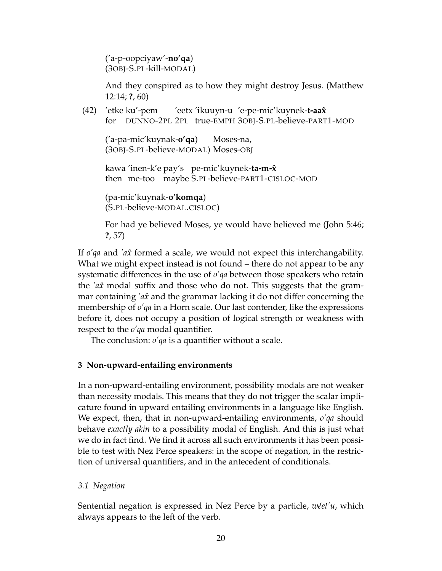('a-p-oopciyaw'-**no'qa**) (3OBJ-S.PL-kill-MODAL)

And they conspired as to how they might destroy Jesus. (Matthew 12:14; **?**, 60)

<span id="page-19-0"></span>(42) 'etke ku'-pem for DUNNO-2PL 2PL true-EMPH 3OBJ-S.PL-believe-PART1-MOD 'eetx 'ikuuyn-u 'e-pe-mic'kuynek-**t-aaxˆ**

('a-pa-mic'kuynak-**o'qa**) (3OBJ-S.PL-believe-MODAL) Moses-OBJ Moses-na,

kawa 'inen-k'e pay's pe-mic'kuynek-**ta-m-xˆ** then me-too maybe S.PL-believe-PART1-CISLOC-MOD

(pa-mic'kuynak-**o'komqa**) (S.PL-believe-MODAL.CISLOC)

For had ye believed Moses, ye would have believed me (John 5:46; **?**, 57)

If *o'qa* and *'axˆ* formed a scale, we would not expect this interchangability. What we might expect instead is not found – there do not appear to be any systematic differences in the use of *o'qa* between those speakers who retain the *'axˆ* modal suffix and those who do not. This suggests that the grammar containing *'axˆ* and the grammar lacking it do not differ concerning the membership of *o'qa* in a Horn scale. Our last contender, like the expressions before it, does not occupy a position of logical strength or weakness with respect to the *o'qa* modal quantifier.

The conclusion: *o'qa* is a quantifier without a scale.

# **3 Non-upward-entailing environments**

In a non-upward-entailing environment, possibility modals are not weaker than necessity modals. This means that they do not trigger the scalar implicature found in upward entailing environments in a language like English. We expect, then, that in non-upward-entailing environments, *o'qa* should behave *exactly akin* to a possibility modal of English. And this is just what we do in fact find. We find it across all such environments it has been possible to test with Nez Perce speakers: in the scope of negation, in the restriction of universal quantifiers, and in the antecedent of conditionals.

### *3.1 Negation*

Sentential negation is expressed in Nez Perce by a particle, *wéet'u*, which always appears to the left of the verb.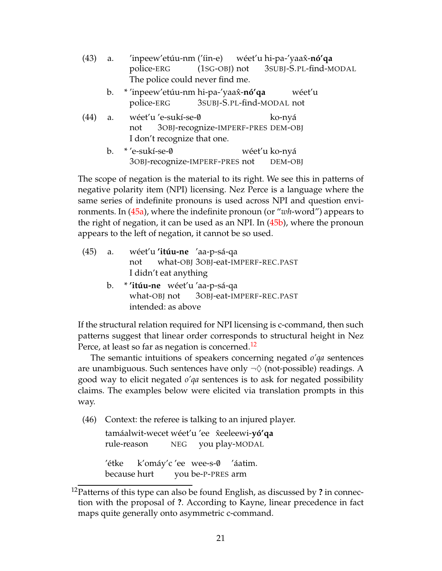- (43) a. 'inpeew'etúu-nm ('íin-e) police-ERG (1SG-OBJ) not wéet'u hi-pa-'yaax-ˆ **nó'qa** 3SUBJ-S.PL-find-MODAL The police could never find me.
	- b. \* 'inpeew'etúu-nm hi-pa-'yaax̂-**nó'qa** police-ERG 3SUBJ-S.PL-find-MODAL not wéet'u
- (44) a. wéet'u 'e-sukí-se-/0 not 3OBJ-recognize-IMPERF-PRES DEM-OBJ ko-nyá I don't recognize that one.
	- b.  $*$  'e-sukí-se- $\emptyset$ 3OBJ-recognize-IMPERF-PRES not wéet'u ko-nyá DEM-OBJ

The scope of negation is the material to its right. We see this in patterns of negative polarity item (NPI) licensing. Nez Perce is a language where the same series of indefinite pronouns is used across NPI and question environments. In [\(45a\)](#page-20-0), where the indefinite pronoun (or "*wh*-word") appears to the right of negation, it can be used as an NPI. In  $(45b)$ , where the pronoun appears to the left of negation, it cannot be so used.

- <span id="page-20-1"></span><span id="page-20-0"></span>(45) a. wéet'u **'itúu-ne** 'aa-p-sá-qa not what-OBJ 3OBJ-eat-IMPERF-REC.PAST I didn't eat anything
	- b. \* **'itúu-ne** wéet'u 'aa-p-sá-qa what-OBJ not 3OBJ-eat-IMPERF-REC.PAST intended: as above

If the structural relation required for NPI licensing is c-command, then such patterns suggest that linear order corresponds to structural height in Nez Perce, at least so far as negation is concerned.<sup>[12](#page-20-2)</sup>

The semantic intuitions of speakers concerning negated *o'qa* sentences are unambiguous. Such sentences have only  $\neg \Diamond$  (not-possible) readings. A good way to elicit negated *o'qa* sentences is to ask for negated possibility claims. The examples below were elicited via translation prompts in this way.

(46) Context: the referee is talking to an injured player.

tamáalwit-wecet wéet'u 'ee xeeleewi- ˆ **yó'qa** rule-reason NEG you play-MODAL

'étke because hurt k′omáy′c ′ee wee-s-0 you be-P-PRES arm 'áatim.

<span id="page-20-2"></span><sup>12</sup>Patterns of this type can also be found English, as discussed by **?** in connection with the proposal of **?**. According to Kayne, linear precedence in fact maps quite generally onto asymmetric c-command.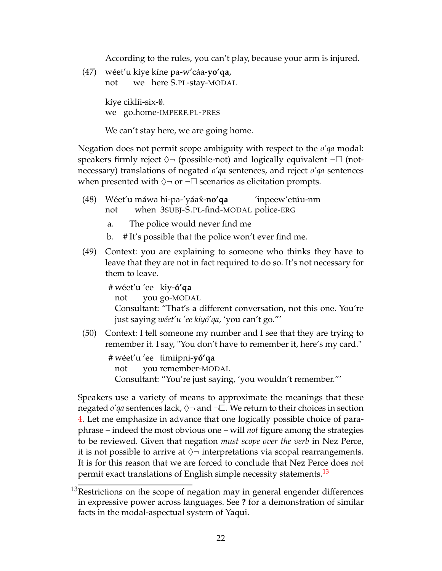According to the rules, you can't play, because your arm is injured.

(47) wéet'u kíye kíne pa-w'cáa-**yo'qa**, not we here S.PL-stay-MODAL

> kíye ciklíi-six-0. we go.home-IMPERF.PL-PRES

We can't stay here, we are going home.

Negation does not permit scope ambiguity with respect to the *o'qa* modal: speakers firmly reject  $\Diamond \neg$  (possible-not) and logically equivalent  $\neg \Box$  (notnecessary) translations of negated *o'qa* sentences, and reject *o'qa* sentences when presented with  $\Diamond \neg$  or  $\neg \Box$  scenarios as elicitation prompts.

- (48) Wéet'u máwa hi-pa-'yáax̂-**no'qa** not when 3SUBJ-S.PL-find-MODAL police-ERG 'inpeew'etúu-nm
	- a. The police would never find me
	- b. # It's possible that the police won't ever find me.
- <span id="page-21-1"></span>(49) Context: you are explaining to someone who thinks they have to leave that they are not in fact required to do so. It's not necessary for them to leave.

# wéet'u 'ee kiy-**ó'qa** not you go-MODAL Consultant: "That's a different conversation, not this one. You're just saying *wéet'u 'ee kiyó'qa*, 'you can't go."'

<span id="page-21-2"></span>(50) Context: I tell someone my number and I see that they are trying to remember it. I say, "You don't have to remember it, here's my card."

# wéet'u 'ee timiipni-**yó'qa** not you remember-MODAL

Consultant: "You're just saying, 'you wouldn't remember."'

Speakers use a variety of means to approximate the meanings that these negated *o'qa* sentences lack,  $\Diamond \neg$  and  $\neg \Box$ . We return to their choices in section [4.](#page-24-0) Let me emphasize in advance that one logically possible choice of paraphrase – indeed the most obvious one – will *not* figure among the strategies to be reviewed. Given that negation *must scope over the verb* in Nez Perce, it is not possible to arrive at  $\Diamond$  interpretations via scopal rearrangements. It is for this reason that we are forced to conclude that Nez Perce does not permit exact translations of English simple necessity statements.<sup>[13](#page-21-0)</sup>

<span id="page-21-0"></span> $13$ Restrictions on the scope of negation may in general engender differences in expressive power across languages. See **?** for a demonstration of similar facts in the modal-aspectual system of Yaqui.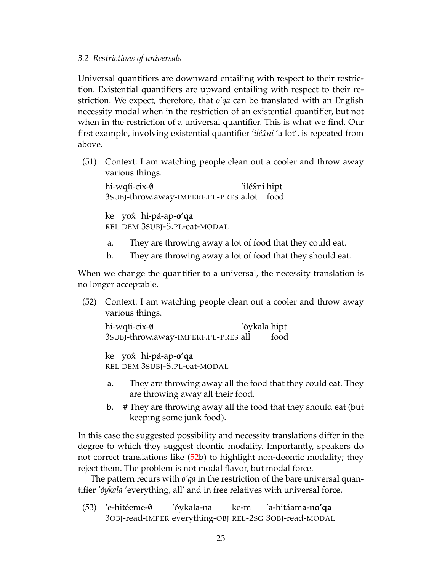### *3.2 Restrictions of universals*

Universal quantifiers are downward entailing with respect to their restriction. Existential quantifiers are upward entailing with respect to their restriction. We expect, therefore, that *o'qa* can be translated with an English necessity modal when in the restriction of an existential quantifier, but not when in the restriction of a universal quantifier. This is what we find. Our first example, involving existential quantifier *'iléxni* 'a lot', is repeated from above.

(51) Context: I am watching people clean out a cooler and throw away various things.

hi-wqíi-cix-0 3SUBJ-throw.away-IMPERF.PL-PRES a.lot food ′iléx̂ni hipt

ke yoxˆ hi-pá-ap-**o'qa** REL DEM 3SUBJ-S.PL-eat-MODAL

- a. They are throwing away a lot of food that they could eat.
- b. They are throwing away a lot of food that they should eat.

When we change the quantifier to a universal, the necessity translation is no longer acceptable.

<span id="page-22-0"></span>(52) Context: I am watching people clean out a cooler and throw away various things.

hi-wqíi-cix-/0 3SUBJ-throw.away-IMPERF.PL-PRES all 'óykala hipt food

ke yoxˆ hi-pá-ap-**o'qa** REL DEM 3SUBJ-S.PL-eat-MODAL

- a. They are throwing away all the food that they could eat. They are throwing away all their food.
- b. # They are throwing away all the food that they should eat (but keeping some junk food).

In this case the suggested possibility and necessity translations differ in the degree to which they suggest deontic modality. Importantly, speakers do not correct translations like [\(52b](#page-22-0)) to highlight non-deontic modality; they reject them. The problem is not modal flavor, but modal force.

The pattern recurs with *o'qa* in the restriction of the bare universal quantifier *'óykala* 'everything, all' and in free relatives with universal force.

(53)  $^{\prime}$ e-hitéeme- $\emptyset$ 3OBJ-read-IMPER everything-OBJ REL-2SG 3OBJ-read-MODAL 'óykala-na ke-m 'a-hitáama-**no'qa**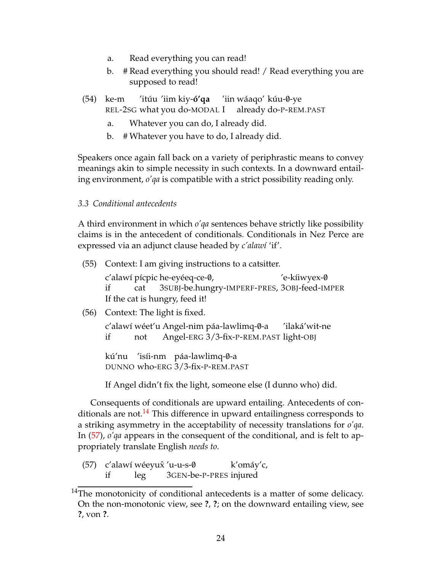- a. Read everything you can read!
- b. # Read everything you should read! / Read everything you are supposed to read!
- <span id="page-23-2"></span>(54) ke-m REL-2SG what you do-MODAL I 'itúu 'iim kiy-**ó'qa** 'iin wáaqo' kúu-0-ye already do-P-REM.PAST
	- a. Whatever you can do, I already did.
	- b. # Whatever you have to do, I already did.

Speakers once again fall back on a variety of periphrastic means to convey meanings akin to simple necessity in such contexts. In a downward entailing environment, *o'qa* is compatible with a strict possibility reading only.

### *3.3 Conditional antecedents*

A third environment in which *o'qa* sentences behave strictly like possibility claims is in the antecedent of conditionals. Conditionals in Nez Perce are expressed via an adjunct clause headed by *c'alawí* 'if'.

(55) Context: I am giving instructions to a catsitter.

c'alawí pícpic he-eyéeq-ce-0, if cat 3SUBJ-be.hungry-IMPERF-PRES, 3OBJ-feed-IMPER 'e-kíiwyex-0 If the cat is hungry, feed it!

(56) Context: The light is fixed.

c'alawí wéet'u Angel-nim páa-lawlimq-0-a if not Angel-ERG 3/3-fix-P-REM.PAST light-OBJ 'ilaká'wit-ne

kú'nu 'isíi-nm páa-lawlimq-0-a DUNNO who-ERG 3/3-fix-P-REM.PAST

If Angel didn't fix the light, someone else (I dunno who) did.

Consequents of conditionals are upward entailing. Antecedents of con-ditionals are not.<sup>[14](#page-23-0)</sup> This difference in upward entailingness corresponds to a striking asymmetry in the acceptability of necessity translations for *o'qa*. In [\(57\)](#page-23-1), *o'qa* appears in the consequent of the conditional, and is felt to appropriately translate English *needs to*.

<span id="page-23-1"></span>(57) c'alawí wéeyuxˆ 'u-u-s-/0 if leg 3GEN-be-P-PRES injured k'omáy'c,

<span id="page-23-0"></span> $14$ The monotonicity of conditional antecedents is a matter of some delicacy. On the non-monotonic view, see **?**, **?**; on the downward entailing view, see **?**, von **?**.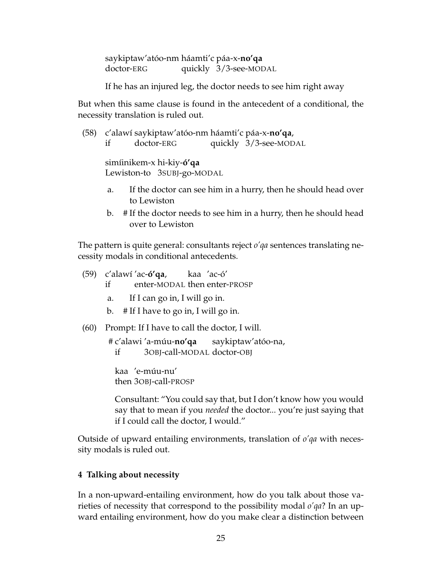saykiptaw'atóo-nm háamti'c páa-x-**no'qa** doctor-ERG quickly 3/3-see-MODAL

If he has an injured leg, the doctor needs to see him right away

But when this same clause is found in the antecedent of a conditional, the necessity translation is ruled out.

(58) c'alawí saykiptaw'atóo-nm háamti'c páa-x-**no'qa**, if doctor-ERG quickly 3/3-see-MODAL

> simíinikem-x hi-kiy-**ó'qa** Lewiston-to 3SUBJ-go-MODAL

- <span id="page-24-2"></span>a. If the doctor can see him in a hurry, then he should head over to Lewiston
- b. # If the doctor needs to see him in a hurry, then he should head over to Lewiston

The pattern is quite general: consultants reject *o'qa* sentences translating necessity modals in conditional antecedents.

- <span id="page-24-1"></span>(59) c'alawí 'ac-**ó'qa**, if enter-MODAL then enter-PROSP kaa 'ac-ó'
	- a. If I can go in, I will go in.
	- b. # If I have to go in, I will go in.
- <span id="page-24-3"></span>(60) Prompt: If I have to call the doctor, I will.

# c'alawi 'a-múu-**no'qa** if 3OBJ-call-MODAL doctor-OBJ saykiptaw'atóo-na,

kaa 'e-múu-nu' then 3OBJ-call-PROSP

Consultant: "You could say that, but I don't know how you would say that to mean if you *needed* the doctor... you're just saying that if I could call the doctor, I would."

Outside of upward entailing environments, translation of *o'qa* with necessity modals is ruled out.

### <span id="page-24-0"></span>**4 Talking about necessity**

In a non-upward-entailing environment, how do you talk about those varieties of necessity that correspond to the possibility modal *o'qa*? In an upward entailing environment, how do you make clear a distinction between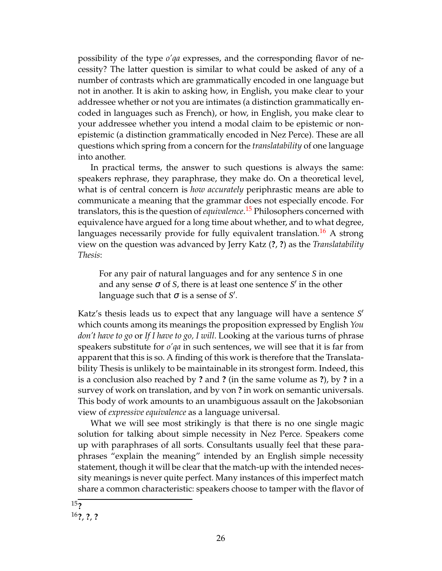possibility of the type *o'qa* expresses, and the corresponding flavor of necessity? The latter question is similar to what could be asked of any of a number of contrasts which are grammatically encoded in one language but not in another. It is akin to asking how, in English, you make clear to your addressee whether or not you are intimates (a distinction grammatically encoded in languages such as French), or how, in English, you make clear to your addressee whether you intend a modal claim to be epistemic or nonepistemic (a distinction grammatically encoded in Nez Perce). These are all questions which spring from a concern for the *translatability* of one language into another.

In practical terms, the answer to such questions is always the same: speakers rephrase, they paraphrase, they make do. On a theoretical level, what is of central concern is *how accurately* periphrastic means are able to communicate a meaning that the grammar does not especially encode. For translators, this is the question of *equivalence*. [15](#page-25-0) Philosophers concerned with equivalence have argued for a long time about whether, and to what degree, languages necessarily provide for fully equivalent translation.<sup>[16](#page-25-1)</sup> A strong view on the question was advanced by Jerry Katz (**?**, **?**) as the *Translatability Thesis*:

For any pair of natural languages and for any sentence *S* in one and any sense  $\sigma$  of *S*, there is at least one sentence *S'* in the other language such that  $\sigma$  is a sense of S'.

Katz's thesis leads us to expect that any language will have a sentence *S* ′ which counts among its meanings the proposition expressed by English *You don't have to go* or *If I have to go, I will*. Looking at the various turns of phrase speakers substitute for *o'qa* in such sentences, we will see that it is far from apparent that this is so. A finding of this work is therefore that the Translatability Thesis is unlikely to be maintainable in its strongest form. Indeed, this is a conclusion also reached by **?** and **?** (in the same volume as **?**), by **?** in a survey of work on translation, and by von **?** in work on semantic universals. This body of work amounts to an unambiguous assault on the Jakobsonian view of *expressive equivalence* as a language universal.

<span id="page-25-1"></span><span id="page-25-0"></span>What we will see most strikingly is that there is no one single magic solution for talking about simple necessity in Nez Perce. Speakers come up with paraphrases of all sorts. Consultants usually feel that these paraphrases "explain the meaning" intended by an English simple necessity statement, though it will be clear that the match-up with the intended necessity meanings is never quite perfect. Many instances of this imperfect match share a common characteristic: speakers choose to tamper with the flavor of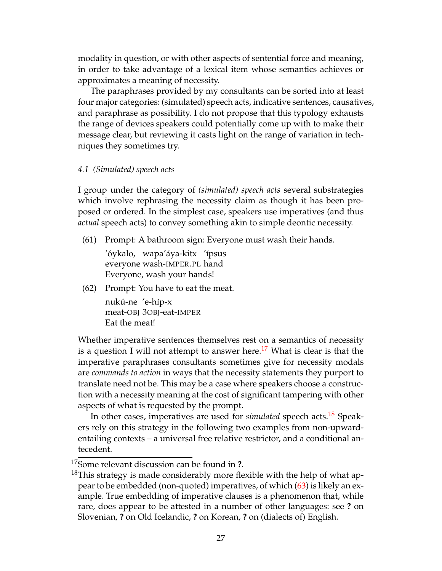modality in question, or with other aspects of sentential force and meaning, in order to take advantage of a lexical item whose semantics achieves or approximates a meaning of necessity.

The paraphrases provided by my consultants can be sorted into at least four major categories: (simulated) speech acts, indicative sentences, causatives, and paraphrase as possibility. I do not propose that this typology exhausts the range of devices speakers could potentially come up with to make their message clear, but reviewing it casts light on the range of variation in techniques they sometimes try.

#### *4.1 (Simulated) speech acts*

I group under the category of *(simulated) speech acts* several substrategies which involve rephrasing the necessity claim as though it has been proposed or ordered. In the simplest case, speakers use imperatives (and thus *actual* speech acts) to convey something akin to simple deontic necessity.

(61) Prompt: A bathroom sign: Everyone must wash their hands.

'óykalo, wapa'áya-kitx 'ípsus everyone wash-IMPER.PL hand Everyone, wash your hands!

(62) Prompt: You have to eat the meat.

nukú-ne 'e-híp-x meat-OBJ 3OBJ-eat-IMPER Eat the meat!

Whether imperative sentences themselves rest on a semantics of necessity is a question I will not attempt to answer here.<sup>[17](#page-26-0)</sup> What is clear is that the imperative paraphrases consultants sometimes give for necessity modals are *commands to action* in ways that the necessity statements they purport to translate need not be. This may be a case where speakers choose a construction with a necessity meaning at the cost of significant tampering with other aspects of what is requested by the prompt.

In other cases, imperatives are used for *simulated* speech acts.[18](#page-26-1) Speakers rely on this strategy in the following two examples from non-upwardentailing contexts – a universal free relative restrictor, and a conditional antecedent.

<sup>17</sup>Some relevant discussion can be found in **?**.

<span id="page-26-1"></span><span id="page-26-0"></span><sup>&</sup>lt;sup>18</sup>This strategy is made considerably more flexible with the help of what appear to be embedded (non-quoted) imperatives, of which [\(63\)](#page-27-0) is likely an example. True embedding of imperative clauses is a phenomenon that, while rare, does appear to be attested in a number of other languages: see **?** on Slovenian, **?** on Old Icelandic, **?** on Korean, **?** on (dialects of) English.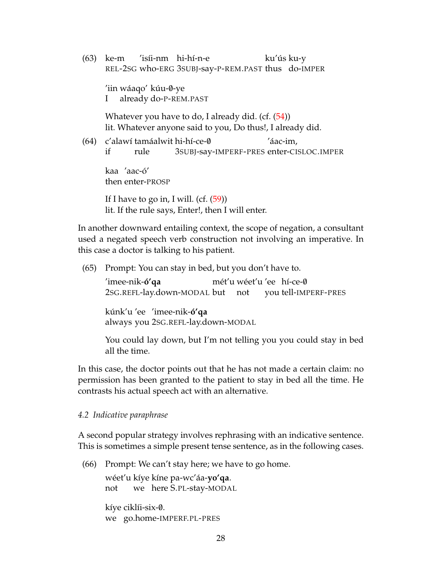<span id="page-27-0"></span>(63) ke-m 'isíi-nm hi-hí-n-e REL-2SG who-ERG 3SUBJ-say-P-REM.PAST thus do-IMPER ku'ús ku-y 'iin wáaqo' kúu-0-ye I already do-P-REM.PAST Whatever you have to do, I already did.  $(cf. (54))$  $(cf. (54))$  $(cf. (54))$ lit. Whatever anyone said to you, Do thus!, I already did. (64) c'alawí tamáalwit hi-hí-ce-0 if rule 3SUBJ-say-IMPERF-PRES enter-CISLOC.IMPER 'áac-im, kaa 'aac-ó' then enter-PROSP If I have to go in, I will. (cf.  $(59)$ ) lit. If the rule says, Enter!, then I will enter.

In another downward entailing context, the scope of negation, a consultant used a negated speech verb construction not involving an imperative. In this case a doctor is talking to his patient.

(65) Prompt: You can stay in bed, but you don't have to.

'imee-nik-**ó'qa** 2SG.REFL-lay.down-MODAL but mét′u wéet′u ′ee hí-ce-0 not you tell-IMPERF-PRES

kúnk'u 'ee 'imee-nik-**ó'qa** always you 2SG.REFL-lay.down-MODAL

You could lay down, but I'm not telling you you could stay in bed all the time.

In this case, the doctor points out that he has not made a certain claim: no permission has been granted to the patient to stay in bed all the time. He contrasts his actual speech act with an alternative.

#### *4.2 Indicative paraphrase*

A second popular strategy involves rephrasing with an indicative sentence. This is sometimes a simple present tense sentence, as in the following cases.

(66) Prompt: We can't stay here; we have to go home.

wéet'u kíye kíne pa-wc'áa-**yo'qa**. not we here S.PL-stay-MODAL

kíye ciklíi-six-0. we go.home-IMPERF.PL-PRES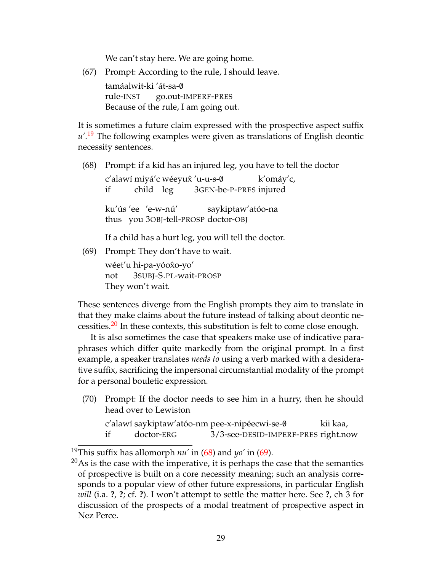We can't stay here. We are going home.

(67) Prompt: According to the rule, I should leave. tamáalwit-ki ′át-sa-0 rule-INST go.out-IMPERF-PRES Because of the rule, I am going out.

It is sometimes a future claim expressed with the prospective aspect suffix *u'*. [19](#page-28-0) The following examples were given as translations of English deontic necessity sentences.

<span id="page-28-2"></span>(68) Prompt: if a kid has an injured leg, you have to tell the doctor

c'alawí miyá'c wéeyux̂ 'u-u-s-0 if child leg 3GEN-be-P-PRES injured k'omáy'c,

ku'ús 'ee 'e-w-nú' thus you 3OBJ-tell-PROSP doctor-OBJ saykiptaw'atóo-na

If a child has a hurt leg, you will tell the doctor.

<span id="page-28-3"></span>(69) Prompt: They don't have to wait.

wéet'u hi-pa-yóoxo-yo' ˆ not 3SUBJ-S.PL-wait-PROSP They won't wait.

These sentences diverge from the English prompts they aim to translate in that they make claims about the future instead of talking about deontic ne-cessities.<sup>[20](#page-28-1)</sup> In these contexts, this substitution is felt to come close enough.

It is also sometimes the case that speakers make use of indicative paraphrases which differ quite markedly from the original prompt. In a first example, a speaker translates *needs to* using a verb marked with a desiderative suffix, sacrificing the impersonal circumstantial modality of the prompt for a personal bouletic expression.

<span id="page-28-4"></span>(70) Prompt: If the doctor needs to see him in a hurry, then he should head over to Lewiston

|    |            | c'alawí saykiptaw'atóo-nm pee-x-nipéecwi-se-0 | kii kaa, |
|----|------------|-----------------------------------------------|----------|
| if | doctor-ERG | 3/3-see-DESID-IMPERF-PRES right.now           |          |

<sup>&</sup>lt;sup>19</sup>This suffix has allomorph  $nu'$  in [\(68\)](#page-28-2) and  $\gamma$ <sup>o</sup> in [\(69\)](#page-28-3).

<span id="page-28-1"></span><span id="page-28-0"></span> $20As$  is the case with the imperative, it is perhaps the case that the semantics of prospective is built on a core necessity meaning; such an analysis corresponds to a popular view of other future expressions, in particular English *will* (i.a. **?**, **?**; cf. **?**). I won't attempt to settle the matter here. See **?**, ch 3 for discussion of the prospects of a modal treatment of prospective aspect in Nez Perce.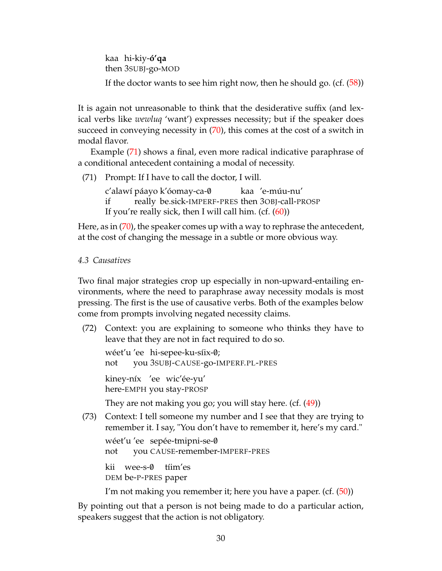kaa hi-kiy-**ó'qa** then 3SUBJ-go-MOD

If the doctor wants to see him right now, then he should go. (cf. [\(58\)](#page-24-2))

It is again not unreasonable to think that the desiderative suffix (and lexical verbs like *wewluq* 'want') expresses necessity; but if the speaker does succeed in conveying necessity in  $(70)$ , this comes at the cost of a switch in modal flavor.

Example [\(71\)](#page-29-0) shows a final, even more radical indicative paraphrase of a conditional antecedent containing a modal of necessity.

<span id="page-29-0"></span>(71) Prompt: If I have to call the doctor, I will.

c'alawí páayo k'óomay-ca-0 if really be.sick-IMPERF-PRES then 3OBJ-call-PROSP kaa 'e-múu-nu' If you're really sick, then I will call him.  $(cf. (60))$  $(cf. (60))$  $(cf. (60))$ 

Here, as in [\(70\)](#page-28-4), the speaker comes up with a way to rephrase the antecedent, at the cost of changing the message in a subtle or more obvious way.

## *4.3 Causatives*

Two final major strategies crop up especially in non-upward-entailing environments, where the need to paraphrase away necessity modals is most pressing. The first is the use of causative verbs. Both of the examples below come from prompts involving negated necessity claims.

(72) Context: you are explaining to someone who thinks they have to leave that they are not in fact required to do so.

wéet'u 'ee hi-sepee-ku-síix-0; not you 3SUBJ-CAUSE-go-IMPERF.PL-PRES kiney-níx 'ee wic'ée-yu' here-EMPH you stay-PROSP

They are not making you go; you will stay here. (cf. [\(49\)](#page-21-1))

(73) Context: I tell someone my number and I see that they are trying to remember it. I say, "You don't have to remember it, here's my card."

wéet'u 'ee sepée-tmipni-se-/0 not you CAUSE-remember-IMPERF-PRES

kii wee-s-0 DEM be-P-PRES paper tíim'es

I'm not making you remember it; here you have a paper. (cf. [\(50\)](#page-21-2))

By pointing out that a person is not being made to do a particular action, speakers suggest that the action is not obligatory.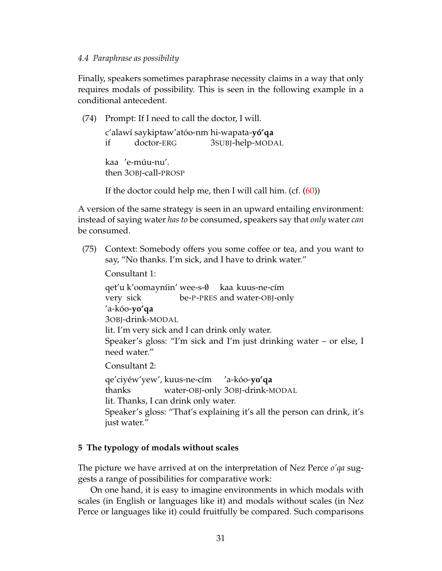#### *4.4 Paraphrase as possibility*

Finally, speakers sometimes paraphrase necessity claims in a way that only requires modals of possibility. This is seen in the following example in a conditional antecedent.

(74) Prompt: If I need to call the doctor, I will.

c'alawí saykiptaw'atóo-nm hi-wapata-**yó'qa** if doctor-ERG 3SUBJ-help-MODAL

kaa 'e-múu-nu'. then 3OBJ-call-PROSP

If the doctor could help me, then I will call him. (cf.  $(60)$ )

A version of the same strategy is seen in an upward entailing environment: instead of saying water *has to* be consumed, speakers say that *only* water *can* be consumed.

(75) Context: Somebody offers you some coffee or tea, and you want to say, "No thanks. I'm sick, and I have to drink water."

Consultant 1:

qet'u k'oomayníin' wee-s-0 kaa kuus-ne-cím very sick be-P-PRES and water-OBJ-only 'a-kóo-**yo'qa** 3OBJ-drink-MODAL lit. I'm very sick and I can drink only water. Speaker's gloss: "I'm sick and I'm just drinking water – or else, I need water." Consultant 2: qe'ciyéw'yew', kuus-ne-cím thanks water-OBJ-only 3OBJ-drink-MODAL 'a-kóo-**yo'qa** lit. Thanks, I can drink only water.

# Speaker's gloss: "That's explaining it's all the person can drink, it's just water."

# **5 The typology of modals without scales**

The picture we have arrived at on the interpretation of Nez Perce *o'qa* suggests a range of possibilities for comparative work:

On one hand, it is easy to imagine environments in which modals with scales (in English or languages like it) and modals without scales (in Nez Perce or languages like it) could fruitfully be compared. Such comparisons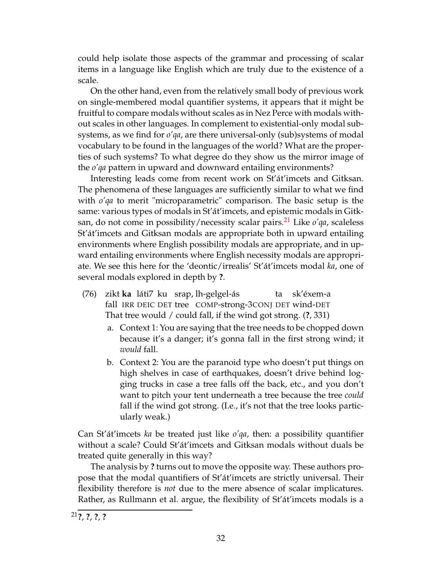could help isolate those aspects of the grammar and processing of scalar items in a language like English which are truly due to the existence of a scale.

On the other hand, even from the relatively small body of previous work on single-membered modal quantifier systems, it appears that it might be fruitful to compare modals without scales as in Nez Perce with modals without scales in other languages. In complement to existential-only modal subsystems, as we find for *o'qa*, are there universal-only (sub)systems of modal vocabulary to be found in the languages of the world? What are the properties of such systems? To what degree do they show us the mirror image of the *o'qa* pattern in upward and downward entailing environments?

Interesting leads come from recent work on St'át'imcets and Gitksan. The phenomena of these languages are sufficiently similar to what we find with *o'qa* to merit "microparametric" comparison. The basic setup is the same: various types of modals in St'át'imcets, and epistemic modals in Gitksan, do not come in possibility/necessity scalar pairs.[21](#page-31-0) Like *o'qa*, scaleless St'át'imcets and Gitksan modals are appropriate both in upward entailing environments where English possibility modals are appropriate, and in upward entailing environments where English necessity modals are appropriate. We see this here for the 'deontic/irrealis' St'át'imcets modal *ka*, one of several modals explored in depth by **?**.

- $(76)$ fall IRR DEIC DET tree COMP-strong-3CONJ DET wind-DET **ka** láti7 ku srap, lh-gelgel-ás ta sk'éxem-a That tree would / could fall, if the wind got strong. (**?**, 331)
	- a. Context 1: You are saying that the tree needs to be chopped down because it's a danger; it's gonna fall in the first strong wind; it *would* fall.
	- b. Context 2: You are the paranoid type who doesn't put things on high shelves in case of earthquakes, doesn't drive behind logging trucks in case a tree falls off the back, etc., and you don't want to pitch your tent underneath a tree because the tree *could* fall if the wind got strong. (I.e., it's not that the tree looks particularly weak.)

Can St'át'imcets *ka* be treated just like *o'qa*, then: a possibility quantifier without a scale? Could St'át'imcets and Gitksan modals without duals be treated quite generally in this way?

The analysis by **?** turns out to move the opposite way. These authors propose that the modal quantifiers of St'át'imcets are strictly universal. Their flexibility therefore is *not* due to the mere absence of scalar implicatures. Rather, as Rullmann et al. argue, the flexibility of St'át'imcets modals is a

<span id="page-31-0"></span><sup>21</sup>**?**, **?**, **?**, **?**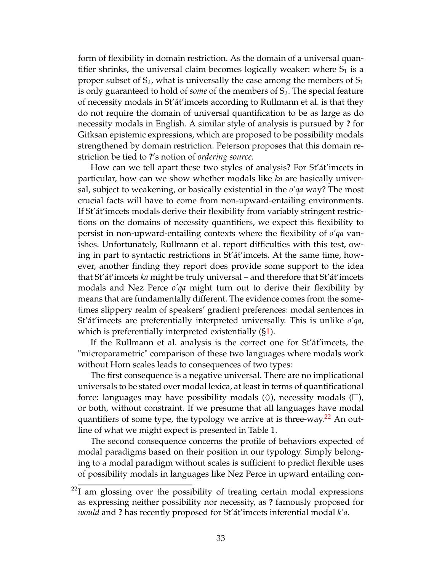form of flexibility in domain restriction. As the domain of a universal quantifier shrinks, the universal claim becomes logically weaker: where  $S_1$  is a proper subset of  $S_2$ , what is universally the case among the members of  $S_1$ is only guaranteed to hold of *some* of the members of S<sub>2</sub>. The special feature of necessity modals in St'át'imcets according to Rullmann et al. is that they do not require the domain of universal quantification to be as large as do necessity modals in English. A similar style of analysis is pursued by **?** for Gitksan epistemic expressions, which are proposed to be possibility modals strengthened by domain restriction. Peterson proposes that this domain restriction be tied to **?**'s notion of *ordering source.*

How can we tell apart these two styles of analysis? For St'át'imcets in particular, how can we show whether modals like *ka* are basically universal, subject to weakening, or basically existential in the *o'qa* way? The most crucial facts will have to come from non-upward-entailing environments. If St'át'imcets modals derive their flexibility from variably stringent restrictions on the domains of necessity quantifiers, we expect this flexibility to persist in non-upward-entailing contexts where the flexibility of *o'qa* vanishes. Unfortunately, Rullmann et al. report difficulties with this test, owing in part to syntactic restrictions in St'át'imcets. At the same time, however, another finding they report does provide some support to the idea that St'át'imcets *ka* might be truly universal – and therefore that St'át'imcets modals and Nez Perce *o'qa* might turn out to derive their flexibility by means that are fundamentally different. The evidence comes from the sometimes slippery realm of speakers' gradient preferences: modal sentences in St'át'imcets are preferentially interpreted universally. This is unlike *o'qa*, which is preferentially interpreted existentially  $(S<sub>1</sub>)$ .

If the Rullmann et al. analysis is the correct one for St'át'imcets, the "microparametric" comparison of these two languages where modals work without Horn scales leads to consequences of two types:

The first consequence is a negative universal. There are no implicational universals to be stated over modal lexica, at least in terms of quantificational force: languages may have possibility modals  $(\Diamond)$ , necessity modals  $(\Box)$ , or both, without constraint. If we presume that all languages have modal quantifiers of some type, the typology we arrive at is three-way.<sup>[22](#page-32-0)</sup> An outline of what we might expect is presented in Table 1.

The second consequence concerns the profile of behaviors expected of modal paradigms based on their position in our typology. Simply belonging to a modal paradigm without scales is sufficient to predict flexible uses of possibility modals in languages like Nez Perce in upward entailing con-

<span id="page-32-0"></span> $22I$  am glossing over the possibility of treating certain modal expressions as expressing neither possibility nor necessity, as **?** famously proposed for *would* and **?** has recently proposed for St'át'imcets inferential modal *k'a*.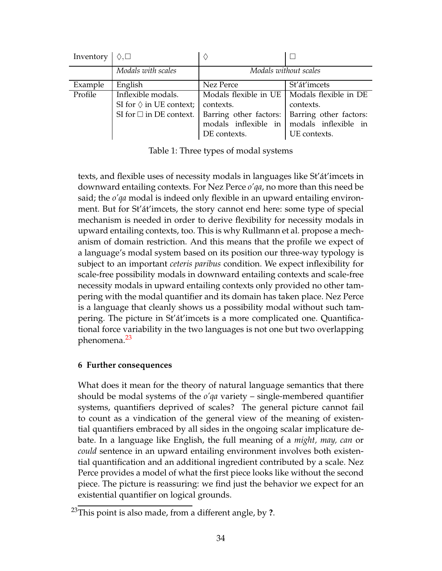| Inventory $  \Diamond, \Box$ |                                                                                           |                                                                                                                                                   |                                                     |
|------------------------------|-------------------------------------------------------------------------------------------|---------------------------------------------------------------------------------------------------------------------------------------------------|-----------------------------------------------------|
|                              | Modals with scales                                                                        | Modals without scales                                                                                                                             |                                                     |
| Example                      | English                                                                                   | Nez Perce                                                                                                                                         | St'át'imcets                                        |
| Profile                      | Inflexible modals.<br>SI for $\Diamond$ in UE context;<br>SI for $\square$ in DE context. | Modals flexible in UE   Modals flexible in DE<br>contexts.<br>Barring other factors:<br>modals inflexible in modals inflexible in<br>DE contexts. | contexts.<br>Barring other factors:<br>UE contexts. |

Table 1: Three types of modal systems

texts, and flexible uses of necessity modals in languages like St'át'imcets in downward entailing contexts. For Nez Perce *o'qa*, no more than this need be said; the *o'qa* modal is indeed only flexible in an upward entailing environment. But for St'át'imcets, the story cannot end here: some type of special mechanism is needed in order to derive flexibility for necessity modals in upward entailing contexts, too. This is why Rullmann et al. propose a mechanism of domain restriction. And this means that the profile we expect of a language's modal system based on its position our three-way typology is subject to an important *ceteris paribus* condition. We expect inflexibility for scale-free possibility modals in downward entailing contexts and scale-free necessity modals in upward entailing contexts only provided no other tampering with the modal quantifier and its domain has taken place. Nez Perce is a language that cleanly shows us a possibility modal without such tampering. The picture in St'át'imcets is a more complicated one. Quantificational force variability in the two languages is not one but two overlapping phenomena.<sup>[23](#page-33-0)</sup>

# **6 Further consequences**

What does it mean for the theory of natural language semantics that there should be modal systems of the *o'qa* variety – single-membered quantifier systems, quantifiers deprived of scales? The general picture cannot fail to count as a vindication of the general view of the meaning of existential quantifiers embraced by all sides in the ongoing scalar implicature debate. In a language like English, the full meaning of a *might, may, can* or *could* sentence in an upward entailing environment involves both existential quantification and an additional ingredient contributed by a scale. Nez Perce provides a model of what the first piece looks like without the second piece. The picture is reassuring: we find just the behavior we expect for an existential quantifier on logical grounds.

<span id="page-33-0"></span><sup>23</sup>This point is also made, from a different angle, by **?**.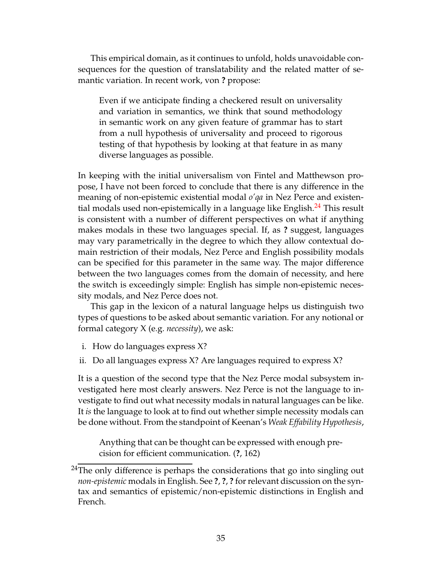This empirical domain, as it continues to unfold, holds unavoidable consequences for the question of translatability and the related matter of semantic variation. In recent work, von **?** propose:

Even if we anticipate finding a checkered result on universality and variation in semantics, we think that sound methodology in semantic work on any given feature of grammar has to start from a null hypothesis of universality and proceed to rigorous testing of that hypothesis by looking at that feature in as many diverse languages as possible.

In keeping with the initial universalism von Fintel and Matthewson propose, I have not been forced to conclude that there is any difference in the meaning of non-epistemic existential modal *o'qa* in Nez Perce and existen-tial modals used non-epistemically in a language like English.<sup>[24](#page-34-0)</sup> This result is consistent with a number of different perspectives on what if anything makes modals in these two languages special. If, as **?** suggest, languages may vary parametrically in the degree to which they allow contextual domain restriction of their modals, Nez Perce and English possibility modals can be specified for this parameter in the same way. The major difference between the two languages comes from the domain of necessity, and here the switch is exceedingly simple: English has simple non-epistemic necessity modals, and Nez Perce does not.

This gap in the lexicon of a natural language helps us distinguish two types of questions to be asked about semantic variation. For any notional or formal category X (e.g. *necessity*), we ask:

- i. How do languages express X?
- ii. Do all languages express X? Are languages required to express X?

It is a question of the second type that the Nez Perce modal subsystem investigated here most clearly answers. Nez Perce is not the language to investigate to find out what necessity modals in natural languages can be like. It *is* the language to look at to find out whether simple necessity modals can be done without. From the standpoint of Keenan's *Weak Effability Hypothesis*,

Anything that can be thought can be expressed with enough precision for efficient communication. (**?**, 162)

<span id="page-34-0"></span> $24$ The only difference is perhaps the considerations that go into singling out *non-epistemic* modals in English. See **?**, **?**, **?** for relevant discussion on the syntax and semantics of epistemic/non-epistemic distinctions in English and French.